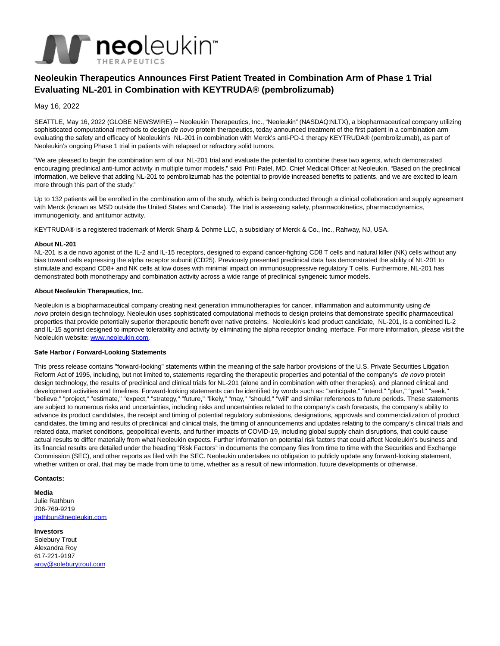

# **Neoleukin Therapeutics Announces First Patient Treated in Combination Arm of Phase 1 Trial Evaluating NL-201 in Combination with KEYTRUDA® (pembrolizumab)**

May 16, 2022

SEATTLE, May 16, 2022 (GLOBE NEWSWIRE) -- Neoleukin Therapeutics, Inc., "Neoleukin" (NASDAQ:NLTX), a biopharmaceutical company utilizing sophisticated computational methods to design de novo protein therapeutics, today announced treatment of the first patient in a combination arm evaluating the safety and efficacy of Neoleukin's NL-201 in combination with Merck's anti-PD-1 therapy KEYTRUDA® (pembrolizumab), as part of Neoleukin's ongoing Phase 1 trial in patients with relapsed or refractory solid tumors.

"We are pleased to begin the combination arm of our NL-201 trial and evaluate the potential to combine these two agents, which demonstrated encouraging preclinical anti-tumor activity in multiple tumor models," said Priti Patel, MD, Chief Medical Officer at Neoleukin. "Based on the preclinical information, we believe that adding NL-201 to pembrolizumab has the potential to provide increased benefits to patients, and we are excited to learn more through this part of the study."

Up to 132 patients will be enrolled in the combination arm of the study, which is being conducted through a clinical collaboration and supply agreement with Merck (known as MSD outside the United States and Canada). The trial is assessing safety, pharmacokinetics, pharmacodynamics, immunogenicity, and antitumor activity.

KEYTRUDA® is a registered trademark of Merck Sharp & Dohme LLC, a subsidiary of Merck & Co., Inc., Rahway, NJ, USA.

# **About NL-201**

NL-201 is a de novo agonist of the IL-2 and IL-15 receptors, designed to expand cancer-fighting CD8 T cells and natural killer (NK) cells without any bias toward cells expressing the alpha receptor subunit (CD25). Previously presented preclinical data has demonstrated the ability of NL-201 to stimulate and expand CD8+ and NK cells at low doses with minimal impact on immunosuppressive regulatory T cells. Furthermore, NL-201 has demonstrated both monotherapy and combination activity across a wide range of preclinical syngeneic tumor models.

### **About Neoleukin Therapeutics, Inc.**

Neoleukin is a biopharmaceutical company creating next generation immunotherapies for cancer, inflammation and autoimmunity using de novo protein design technology. Neoleukin uses sophisticated computational methods to design proteins that demonstrate specific pharmaceutical properties that provide potentially superior therapeutic benefit over native proteins. Neoleukin's lead product candidate, NL-201, is a combined IL-2 and IL-15 agonist designed to improve tolerability and activity by eliminating the alpha receptor binding interface. For more information, please visit the Neoleukin website: [www.neoleukin.com.](https://www.globenewswire.com/Tracker?data=vGEpxJFZUUqyg-5jVKKYjUdeVio0QCFzJQl5QqDp-6dcnjBqZpSY4enRzSoj3dJSdVTSIeynwuC5nmhdUyhL9g==)

# **Safe Harbor / Forward-Looking Statements**

This press release contains "forward-looking" statements within the meaning of the safe harbor provisions of the U.S. Private Securities Litigation Reform Act of 1995, including, but not limited to, statements regarding the therapeutic properties and potential of the company's de novo protein design technology, the results of preclinical and clinical trials for NL-201 (alone and in combination with other therapies), and planned clinical and development activities and timelines. Forward-looking statements can be identified by words such as: "anticipate," "intend," "plan," "goal," "seek," "believe," "project," "estimate," "expect," "strategy," "future," "likely," "may," "should," "will" and similar references to future periods. These statements are subject to numerous risks and uncertainties, including risks and uncertainties related to the company's cash forecasts, the company's ability to advance its product candidates, the receipt and timing of potential regulatory submissions, designations, approvals and commercialization of product candidates, the timing and results of preclinical and clinical trials, the timing of announcements and updates relating to the company's clinical trials and related data, market conditions, geopolitical events, and further impacts of COVID-19, including global supply chain disruptions, that could cause actual results to differ materially from what Neoleukin expects. Further information on potential risk factors that could affect Neoleukin's business and its financial results are detailed under the heading "Risk Factors" in documents the company files from time to time with the Securities and Exchange Commission (SEC), and other reports as filed with the SEC. Neoleukin undertakes no obligation to publicly update any forward-looking statement, whether written or oral, that may be made from time to time, whether as a result of new information, future developments or otherwise.

# **Contacts:**

**Media**

Julie Rathbun 206-769-9219 [jrathbun@neoleukin.com](mailto:jrathbun@neoleukin.com)

**Investors** Solebury Trout Alexandra Roy 617-221-9197 [aroy@soleburytrout.com](mailto:aroy@soleburytrout.com)